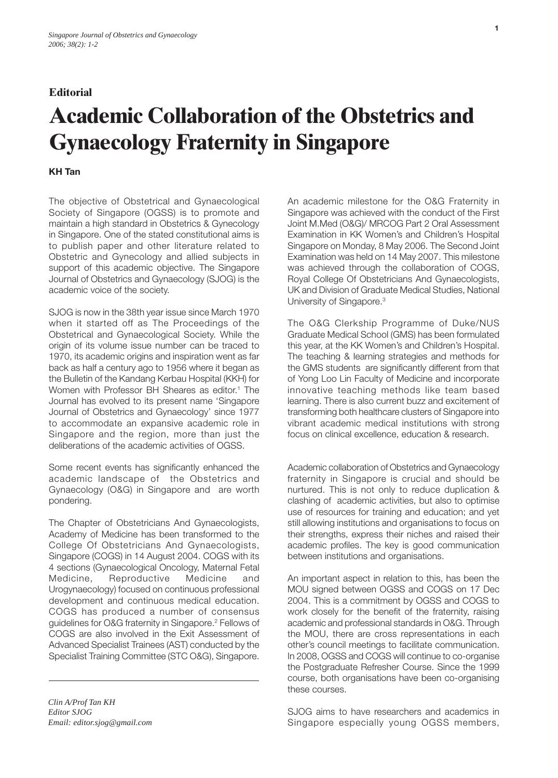## **Editorial**

## **Academic Collaboration of the Obstetrics and Gynaecology Fraternity in Singapore**

## **KH Tan**

The objective of Obstetrical and Gynaecological Society of Singapore (OGSS) is to promote and maintain a high standard in Obstetrics & Gynecology in Singapore. One of the stated constitutional aims is to publish paper and other literature related to Obstetric and Gynecology and allied subjects in support of this academic objective. The Singapore Journal of Obstetrics and Gynaecology (SJOG) is the academic voice of the society.

SJOG is now in the 38th year issue since March 1970 when it started off as The Proceedings of the Obstetrical and Gynaecological Society. While the origin of its volume issue number can be traced to 1970, its academic origins and inspiration went as far back as half a century ago to 1956 where it began as the Bulletin of the Kandang Kerbau Hospital (KKH) for Women with Professor BH Sheares as editor.<sup>1</sup> The Journal has evolved to its present name 'Singapore Journal of Obstetrics and Gynaecology' since 1977 to accommodate an expansive academic role in Singapore and the region, more than just the deliberations of the academic activities of OGSS.

Some recent events has significantly enhanced the academic landscape of the Obstetrics and Gynaecology (O&G) in Singapore and are worth pondering.

The Chapter of Obstetricians And Gynaecologists, Academy of Medicine has been transformed to the College Of Obstetricians And Gynaecologists, Singapore (COGS) in 14 August 2004. COGS with its 4 sections (Gynaecological Oncology, Maternal Fetal Medicine, Reproductive Medicine and Urogynaecology) focused on continuous professional development and continuous medical education. COGS has produced a number of consensus guidelines for O&G fraternity in Singapore.2 Fellows of COGS are also involved in the Exit Assessment of Advanced Specialist Trainees (AST) conducted by the Specialist Training Committee (STC O&G), Singapore.

*Clin A/Prof Tan KH Editor SJOG Email: editor.sjog@gmail.com* An academic milestone for the O&G Fraternity in Singapore was achieved with the conduct of the First Joint M.Med (O&G)/ MRCOG Part 2 Oral Assessment Examination in KK Women's and Children's Hospital Singapore on Monday, 8 May 2006. The Second Joint Examination was held on 14 May 2007. This milestone was achieved through the collaboration of COGS, Royal College Of Obstetricians And Gynaecologists, UK and Division of Graduate Medical Studies, National University of Singapore.<sup>3</sup>

The O&G Clerkship Programme of Duke/NUS Graduate Medical School (GMS) has been formulated this year, at the KK Women's and Children's Hospital. The teaching & learning strategies and methods for the GMS students are significantly different from that of Yong Loo Lin Faculty of Medicine and incorporate innovative teaching methods like team based learning. There is also current buzz and excitement of transforming both healthcare clusters of Singapore into vibrant academic medical institutions with strong focus on clinical excellence, education & research.

Academic collaboration of Obstetrics and Gynaecology fraternity in Singapore is crucial and should be nurtured. This is not only to reduce duplication & clashing of academic activities, but also to optimise use of resources for training and education; and yet still allowing institutions and organisations to focus on their strengths, express their niches and raised their academic profiles. The key is good communication between institutions and organisations.

An important aspect in relation to this, has been the MOU signed between OGSS and COGS on 17 Dec 2004. This is a commitment by OGSS and COGS to work closely for the benefit of the fraternity, raising academic and professional standards in O&G. Through the MOU, there are cross representations in each other's council meetings to facilitate communication. In 2008, OGSS and COGS will continue to co-organise the Postgraduate Refresher Course. Since the 1999 course, both organisations have been co-organising these courses.

SJOG aims to have researchers and academics in Singapore especially young OGSS members,